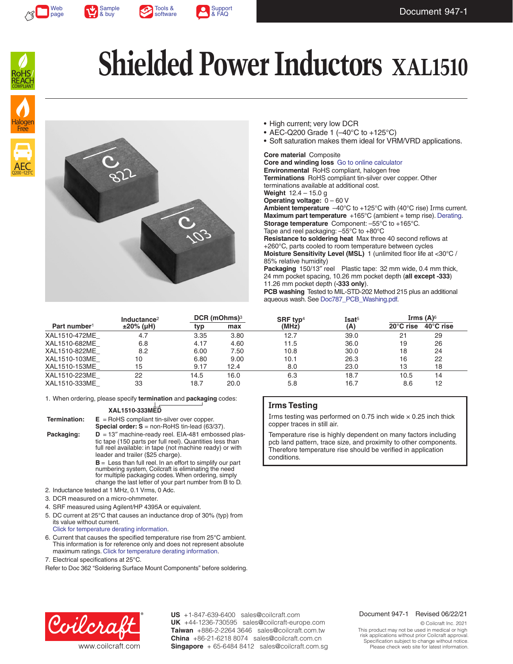







AEC Q200 +125°C

Free

# **Shielded Power Inductors XAL1510**



- High current; very low DCR
- AEC-Q200 Grade 1 (–40°C to +125°C)
- Soft saturation makes them ideal for VRM/VRD applications.

#### **Core material** Composite

**Core and winding loss** [Go to online calculator](http://www.coilcraft.com/apps/loss/loss_1.cfm?family=xal1510) **Environmental** RoHS compliant, halogen free **Terminations** RoHS compliant tin-silver over copper. Other terminations available at additional cost. **Weight** 12.4 – 15.0 g **Operating voltage:** 0 – 60 V **Ambient temperature** –40°C to +125°C with (40°C rise) Irms current. **Maximum part temperature** +165°C (ambient + temp rise). [Derating.](http://www.coilcraft.com/apps/compare/compare_power.cfm) **Storage temperature** Component: –55°C to +165°C. Tape and reel packaging: –55°C to +80°C **Resistance to soldering heat** Max three 40 second reflows at +260°C, parts cooled to room temperature between cycles **Moisture Sensitivity Level (MSL)** 1 (unlimited floor life at <30°C / 85% relative humidity)

Packaging 150/13" reel Plastic tape: 32 mm wide, 0.4 mm thick, 24 mm pocket spacing, 10.26 mm pocket depth (**all except -333**) 11.26 mm pocket depth (**-333 only**).

**PCB washing** Tested to MIL-STD-202 Method 215 plus an additional aqueous wash. See [Doc787\\_PCB\\_Washing.pdf](http://www.coilcraft.com/pdfs/Doc787_PCB_Washing.pdf).

|                          | Inductance <sup>2</sup><br>$±20\%$ (µH) | DCR (mOhms) <sup>3</sup> |      | SRF typ <sup>4</sup> | Isat <sup>5</sup> | Irms $(A)$ <sup>6</sup> |                     |
|--------------------------|-----------------------------------------|--------------------------|------|----------------------|-------------------|-------------------------|---------------------|
| Part number <sup>1</sup> |                                         | typ                      | max  | (MHz)                | (A)               | 20°C rise               | $40^{\circ}$ C rise |
| XAL1510-472ME            | 4.7                                     | 3.35                     | 3.80 | 12.7                 | 39.0              | 21                      | 29                  |
| XAL1510-682ME            | 6.8                                     | 4.17                     | 4.60 | 11.5                 | 36.0              | 19                      | 26                  |
| XAL1510-822ME            | 8.2                                     | 6.00                     | 7.50 | 10.8                 | 30.0              | 18                      | 24                  |
| XAL1510-103ME            | 10                                      | 6.80                     | 9.00 | 10.1                 | 26.3              | 16                      | 22                  |
| XAL1510-153ME            | 15                                      | 9.17                     | 12.4 | 8.0                  | 23.0              | 13                      | 18                  |
| XAL1510-223ME            | 22                                      | 14.5                     | 16.0 | 6.3                  | 18.7              | 10.5                    | 14                  |
| XAL1510-333ME            | 33                                      | 18.7                     | 20.0 | 5.8                  | 16.7              | 8.6                     | 12                  |

1. When ordering, please specify **termination** and **packaging** codes:

### **XAL1510-333MED**

| Termination: | $E =$ RoHS compliant tin-silver over copper.<br><b>Special order: S</b> = non-RoHS tin-lead $(63/37)$ .                                                                                                                               |
|--------------|---------------------------------------------------------------------------------------------------------------------------------------------------------------------------------------------------------------------------------------|
| Packaging:   | $D = 13''$ machine-ready reel. EIA-481 embossed plas-<br>tic tape (150 parts per full reel). Quantities less than<br>full reel available: in tape (not machine ready) or with<br>leader and trailer (\$25 charge).                    |
|              | $B =$ Less than full reel. In an effort to simplify our part<br>numbering system, Coilcraft is eliminating the need<br>for multiple packaging codes. When ordering, simply<br>change the last letter of your part number from B to D. |

- 2. Inductance tested at 1 MHz, 0.1 Vrms, 0 Adc.
- 3. DCR measured on a micro-ohmmeter.
- 4. SRF measured using Agilent/HP 4395A or equivalent.
- 5. DC current at 25°C that causes an inductance drop of 30% (typ) from its value without current.
- [Click for temperature derating information.](http://www.coilcraft.com/apps/compare/compare_power.cfm)
- 6. Current that causes the specified temperature rise from 25°C ambient. This information is for reference only and does not represent absolute maximum ratings. [Click for temperature derating information.](http://www.coilcraft.com/apps/compare/compare_power.cfm)
- 7. Electrical specifications at 25°C.

Refer to Doc 362 "Soldering Surface Mount Components" before soldering.

### **Irms Testing**

Irms testing was performed on 0.75 inch wide  $\times$  0.25 inch thick copper traces in still air.

Temperature rise is highly dependent on many factors including pcb land pattern, trace size, and proximity to other components. Therefore temperature rise should be verified in application conditions.



**US** +1-847-639-6400 sales@coilcraft.com +44-1236-730595 sales@coilcraft-europe.com **UK** +886-2-2264 3646 sales@coilcraft.com.tw **Taiwan** +86-21-6218 8074 sales@coilcraft.com.cn **China** Singapore + 65-6484 8412 sales@coilcraft.com.sg

#### Document 947-1 Revised 06/22/21

© Coilcraft Inc. 2021 This product may not be used in medical or high risk applications without prior Coilcraft approval. Specification subject to change without notice. Please check web site for latest information.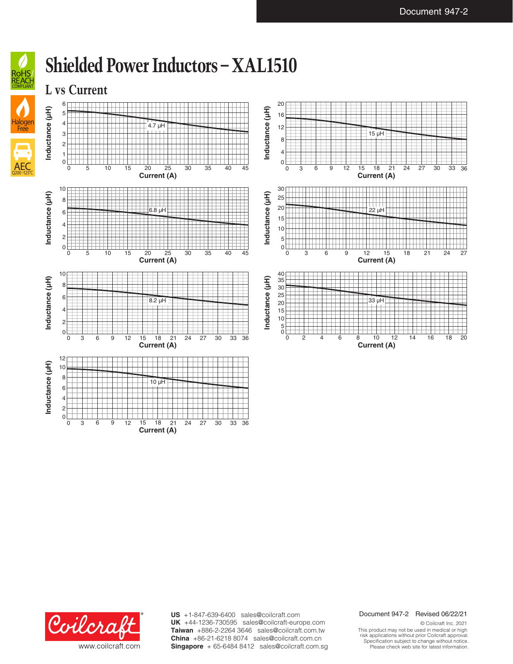

### **Shielded Power Inductors – XAL1510**

**Current (A)**





**US** +1-847-639-6400 sales@coilcraft.com +44-1236-730595 sales@coilcraft-europe.com **UK** +886-2-2264 3646 sales@coilcraft.com.tw **Taiwan** +86-21-6218 8074 sales@coilcraft.com.cn **China** Singapore + 65-6484 8412 sales@coilcraft.com.sg

### Document 947-2 Revised 06/22/21

© Coilcraft Inc. 2021 This product may not be used in medical or high risk applications without prior Coilcraft approval. Specification subject to change without notice. Please check web site for latest information.